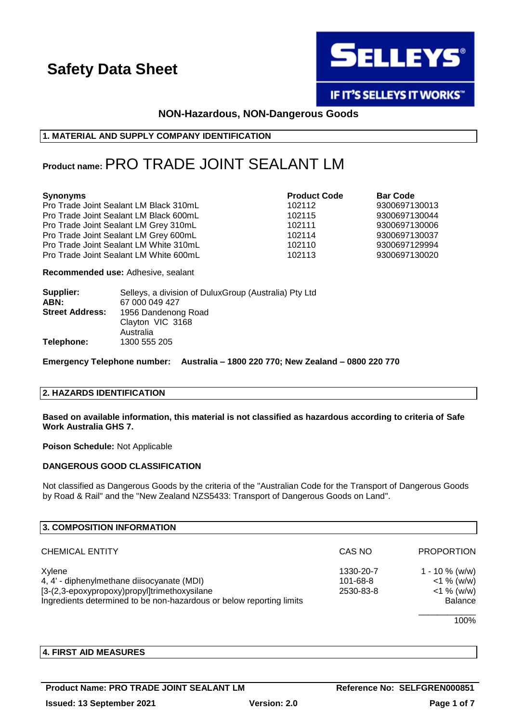

**IF IT'S SELLEYS IT WORKS"** 

### **NON-Hazardous, NON-Dangerous Goods**

#### **1. MATERIAL AND SUPPLY COMPANY IDENTIFICATION**

### **Product name:**PRO TRADE JOINT SEALANT LM

#### **Synonyms Product Code Bar Code**

Pro Trade Joint Sealant LM Black 310mL 102112 9300697130013 Pro Trade Joint Sealant LM Black 600mL 102115 9300697130044 Pro Trade Joint Sealant LM Grey 310mL 102111 9300697130006 Pro Trade Joint Sealant LM Grey 600mL 102114 9300697130037 Pro Trade Joint Sealant LM White 310mL 102110 9300697129994 Pro Trade Joint Sealant LM White 600mL 102113 9300697130020

**Recommended use:** Adhesive, sealant

| Selleys, a division of DuluxGroup (Australia) Pty Ltd |
|-------------------------------------------------------|
| 67 000 049 427                                        |
| 1956 Dandenong Road                                   |
| Clayton VIC 3168                                      |
| Australia                                             |
| 1300 555 205                                          |
|                                                       |

**Emergency Telephone number: Australia – 1800 220 770; New Zealand – 0800 220 770**

#### **2. HAZARDS IDENTIFICATION**

**Based on available information, this material is not classified as hazardous according to criteria of Safe Work Australia GHS 7.**

**Poison Schedule:** Not Applicable

### **DANGEROUS GOOD CLASSIFICATION**

Not classified as Dangerous Goods by the criteria of the "Australian Code for the Transport of Dangerous Goods by Road & Rail" and the "New Zealand NZS5433: Transport of Dangerous Goods on Land".

| 3. COMPOSITION INFORMATION                                           |           |                   |
|----------------------------------------------------------------------|-----------|-------------------|
| <b>CHEMICAL ENTITY</b>                                               | CAS NO    | <b>PROPORTION</b> |
| Xylene                                                               | 1330-20-7 | $1 - 10 \%$ (w/w) |
| 4, 4' - diphenylmethane diisocyanate (MDI)                           | 101-68-8  | $<$ 1 % (w/w)     |
| [3-(2,3-epoxypropoxy)propyl]trimethoxysilane                         | 2530-83-8 | $<$ 1 % (w/w)     |
| Ingredients determined to be non-hazardous or below reporting limits |           | <b>Balance</b>    |
|                                                                      |           | 1000              |

100%

### **4. FIRST AID MEASURES**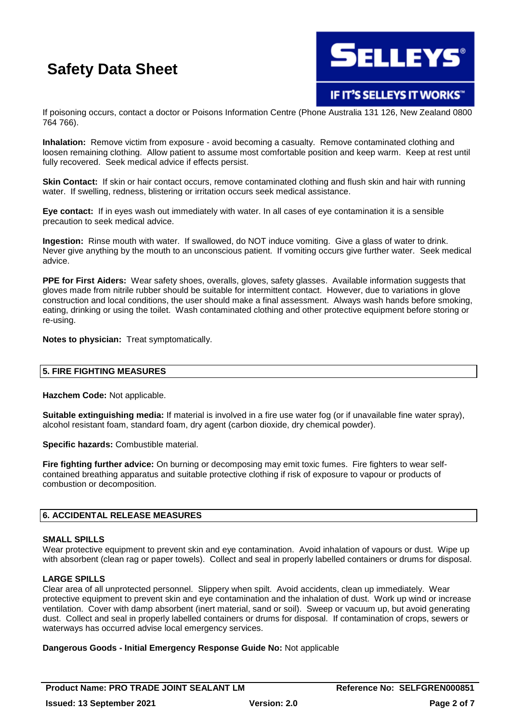

**IF IT'S SELLEYS IT WORKS"** 

If poisoning occurs, contact a doctor or Poisons Information Centre (Phone Australia 131 126, New Zealand 0800 764 766).

**Inhalation:** Remove victim from exposure - avoid becoming a casualty. Remove contaminated clothing and loosen remaining clothing. Allow patient to assume most comfortable position and keep warm. Keep at rest until fully recovered. Seek medical advice if effects persist.

**Skin Contact:** If skin or hair contact occurs, remove contaminated clothing and flush skin and hair with running water. If swelling, redness, blistering or irritation occurs seek medical assistance.

**Eye contact:** If in eyes wash out immediately with water. In all cases of eye contamination it is a sensible precaution to seek medical advice.

**Ingestion:** Rinse mouth with water. If swallowed, do NOT induce vomiting. Give a glass of water to drink. Never give anything by the mouth to an unconscious patient. If vomiting occurs give further water. Seek medical advice.

**PPE for First Aiders:** Wear safety shoes, overalls, gloves, safety glasses. Available information suggests that gloves made from nitrile rubber should be suitable for intermittent contact. However, due to variations in glove construction and local conditions, the user should make a final assessment. Always wash hands before smoking, eating, drinking or using the toilet. Wash contaminated clothing and other protective equipment before storing or re-using.

**Notes to physician:** Treat symptomatically.

#### **5. FIRE FIGHTING MEASURES**

**Hazchem Code:** Not applicable.

**Suitable extinguishing media:** If material is involved in a fire use water fog (or if unavailable fine water spray), alcohol resistant foam, standard foam, dry agent (carbon dioxide, dry chemical powder).

**Specific hazards:** Combustible material.

**Fire fighting further advice:** On burning or decomposing may emit toxic fumes. Fire fighters to wear selfcontained breathing apparatus and suitable protective clothing if risk of exposure to vapour or products of combustion or decomposition.

#### **6. ACCIDENTAL RELEASE MEASURES**

#### **SMALL SPILLS**

Wear protective equipment to prevent skin and eye contamination. Avoid inhalation of vapours or dust. Wipe up with absorbent (clean rag or paper towels). Collect and seal in properly labelled containers or drums for disposal.

#### **LARGE SPILLS**

Clear area of all unprotected personnel. Slippery when spilt. Avoid accidents, clean up immediately. Wear protective equipment to prevent skin and eye contamination and the inhalation of dust. Work up wind or increase ventilation. Cover with damp absorbent (inert material, sand or soil). Sweep or vacuum up, but avoid generating dust. Collect and seal in properly labelled containers or drums for disposal. If contamination of crops, sewers or waterways has occurred advise local emergency services.

#### **Dangerous Goods - Initial Emergency Response Guide No:** Not applicable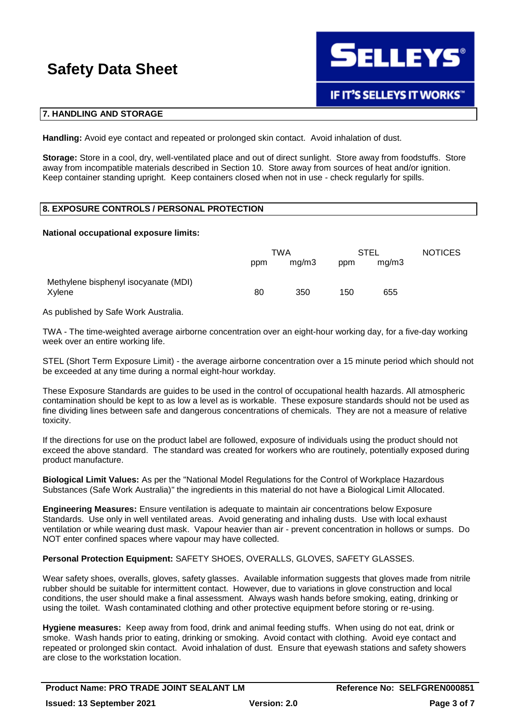

#### **7. HANDLING AND STORAGE**

**Handling:** Avoid eye contact and repeated or prolonged skin contact. Avoid inhalation of dust.

**Storage:** Store in a cool, dry, well-ventilated place and out of direct sunlight. Store away from foodstuffs. Store away from incompatible materials described in Section 10. Store away from sources of heat and/or ignition. Keep container standing upright. Keep containers closed when not in use - check regularly for spills.

### **8. EXPOSURE CONTROLS / PERSONAL PROTECTION**

#### **National occupational exposure limits:**

|                                                | TWA |       | STEL |       | <b>NOTICES</b> |
|------------------------------------------------|-----|-------|------|-------|----------------|
|                                                | ppm | mq/m3 | ppm  | mg/m3 |                |
| Methylene bisphenyl isocyanate (MDI)<br>Xylene | 80  | 350   | 150  | 655   |                |

As published by Safe Work Australia.

TWA - The time-weighted average airborne concentration over an eight-hour working day, for a five-day working week over an entire working life.

STEL (Short Term Exposure Limit) - the average airborne concentration over a 15 minute period which should not be exceeded at any time during a normal eight-hour workday.

These Exposure Standards are guides to be used in the control of occupational health hazards. All atmospheric contamination should be kept to as low a level as is workable. These exposure standards should not be used as fine dividing lines between safe and dangerous concentrations of chemicals. They are not a measure of relative toxicity.

If the directions for use on the product label are followed, exposure of individuals using the product should not exceed the above standard. The standard was created for workers who are routinely, potentially exposed during product manufacture.

**Biological Limit Values:** As per the "National Model Regulations for the Control of Workplace Hazardous Substances (Safe Work Australia)" the ingredients in this material do not have a Biological Limit Allocated.

**Engineering Measures:** Ensure ventilation is adequate to maintain air concentrations below Exposure Standards. Use only in well ventilated areas. Avoid generating and inhaling dusts. Use with local exhaust ventilation or while wearing dust mask. Vapour heavier than air - prevent concentration in hollows or sumps. Do NOT enter confined spaces where vapour may have collected.

#### **Personal Protection Equipment:** SAFETY SHOES, OVERALLS, GLOVES, SAFETY GLASSES.

Wear safety shoes, overalls, gloves, safety glasses. Available information suggests that gloves made from nitrile rubber should be suitable for intermittent contact. However, due to variations in glove construction and local conditions, the user should make a final assessment. Always wash hands before smoking, eating, drinking or using the toilet. Wash contaminated clothing and other protective equipment before storing or re-using.

**Hygiene measures:** Keep away from food, drink and animal feeding stuffs. When using do not eat, drink or smoke. Wash hands prior to eating, drinking or smoking. Avoid contact with clothing. Avoid eye contact and repeated or prolonged skin contact. Avoid inhalation of dust. Ensure that eyewash stations and safety showers are close to the workstation location.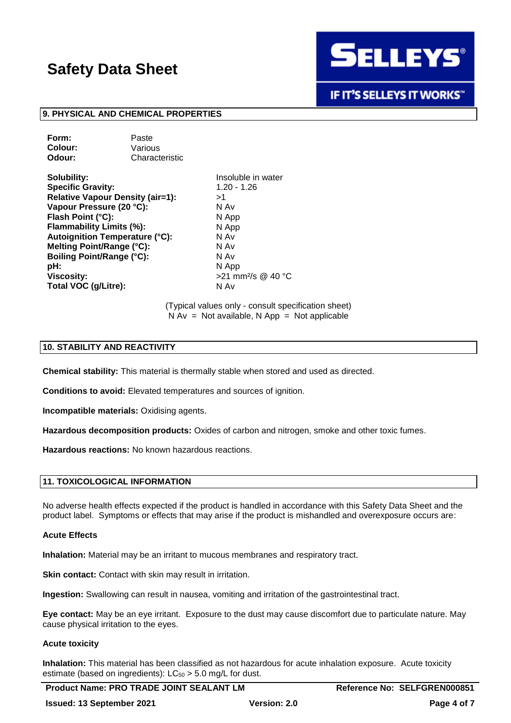

**IF IT'S SELLEYS IT WORKS"** 

#### **9. PHYSICAL AND CHEMICAL PROPERTIES**

| Form:   | Paste          |
|---------|----------------|
| Colour: | Various        |
| Odour:  | Characteristic |

**Solubility:** Insoluble in water **Specific Gravity:** 1.20 - 1.26 **Relative Vapour Density (air=1):** >1 **Vapour Pressure (20 °C):** N Av **Flash Point (°C):** N App **Flammability Limits (%):** N App **Autoignition Temperature (°C):** N Av **Melting Point/Range (°C):** N Av **Boiling Point/Range (°C):** pH: N App **Viscosity:**  $>21$  mm<sup>2</sup>/s @ 40 °C **Total VOC (g/Litre):** N Av

(Typical values only - consult specification sheet)  $N Av = Not available, N App = Not applicable$ 

#### **10. STABILITY AND REACTIVITY**

**Chemical stability:** This material is thermally stable when stored and used as directed.

**Conditions to avoid:** Elevated temperatures and sources of ignition.

**Incompatible materials:** Oxidising agents.

**Hazardous decomposition products:** Oxides of carbon and nitrogen, smoke and other toxic fumes.

**Hazardous reactions:** No known hazardous reactions.

#### **11. TOXICOLOGICAL INFORMATION**

No adverse health effects expected if the product is handled in accordance with this Safety Data Sheet and the product label. Symptoms or effects that may arise if the product is mishandled and overexposure occurs are:

#### **Acute Effects**

**Inhalation:** Material may be an irritant to mucous membranes and respiratory tract.

**Skin contact:** Contact with skin may result in irritation.

**Ingestion:** Swallowing can result in nausea, vomiting and irritation of the gastrointestinal tract.

**Eye contact:** May be an eye irritant. Exposure to the dust may cause discomfort due to particulate nature. May cause physical irritation to the eyes.

#### **Acute toxicity**

**Inhalation:** This material has been classified as not hazardous for acute inhalation exposure. Acute toxicity estimate (based on ingredients):  $LC_{50} > 5.0$  mg/L for dust.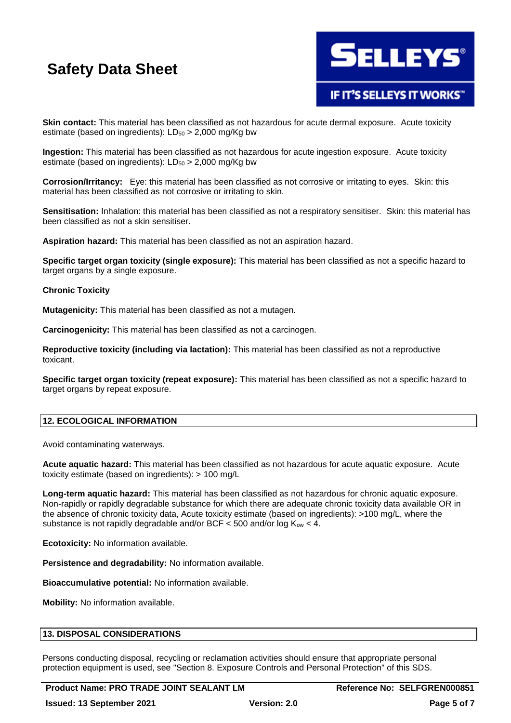

### **IF IT'S SELLEYS IT WORKS"**

**Skin contact:** This material has been classified as not hazardous for acute dermal exposure. Acute toxicity estimate (based on ingredients):  $LD_{50} > 2,000$  mg/Kg bw

**Ingestion:** This material has been classified as not hazardous for acute ingestion exposure. Acute toxicity estimate (based on ingredients):  $LD_{50} > 2,000$  mg/Kg bw

**Corrosion/Irritancy:** Eye: this material has been classified as not corrosive or irritating to eyes. Skin: this material has been classified as not corrosive or irritating to skin.

**Sensitisation:** Inhalation: this material has been classified as not a respiratory sensitiser. Skin: this material has been classified as not a skin sensitiser.

**Aspiration hazard:** This material has been classified as not an aspiration hazard.

**Specific target organ toxicity (single exposure):** This material has been classified as not a specific hazard to target organs by a single exposure.

#### **Chronic Toxicity**

**Mutagenicity:** This material has been classified as not a mutagen.

**Carcinogenicity:** This material has been classified as not a carcinogen.

**Reproductive toxicity (including via lactation):** This material has been classified as not a reproductive toxicant.

**Specific target organ toxicity (repeat exposure):** This material has been classified as not a specific hazard to target organs by repeat exposure.

#### **12. ECOLOGICAL INFORMATION**

Avoid contaminating waterways.

**Acute aquatic hazard:** This material has been classified as not hazardous for acute aquatic exposure. Acute toxicity estimate (based on ingredients): > 100 mg/L

**Long-term aquatic hazard:** This material has been classified as not hazardous for chronic aquatic exposure. Non-rapidly or rapidly degradable substance for which there are adequate chronic toxicity data available OR in the absence of chronic toxicity data, Acute toxicity estimate (based on ingredients): >100 mg/L, where the substance is not rapidly degradable and/or BCF  $<$  500 and/or log  $K_{ow}$   $<$  4.

**Ecotoxicity:** No information available.

**Persistence and degradability:** No information available.

**Bioaccumulative potential:** No information available.

**Mobility:** No information available.

#### **13. DISPOSAL CONSIDERATIONS**

Persons conducting disposal, recycling or reclamation activities should ensure that appropriate personal protection equipment is used, see "Section 8. Exposure Controls and Personal Protection" of this SDS.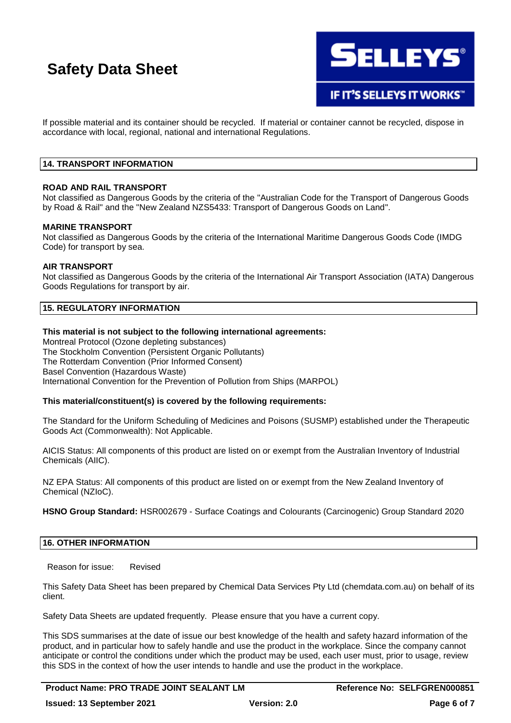

**IF IT'S SELLEYS IT WORKS"** 

If possible material and its container should be recycled. If material or container cannot be recycled, dispose in accordance with local, regional, national and international Regulations.

#### **14. TRANSPORT INFORMATION**

#### **ROAD AND RAIL TRANSPORT**

Not classified as Dangerous Goods by the criteria of the "Australian Code for the Transport of Dangerous Goods by Road & Rail" and the "New Zealand NZS5433: Transport of Dangerous Goods on Land".

#### **MARINE TRANSPORT**

Not classified as Dangerous Goods by the criteria of the International Maritime Dangerous Goods Code (IMDG Code) for transport by sea.

#### **AIR TRANSPORT**

Not classified as Dangerous Goods by the criteria of the International Air Transport Association (IATA) Dangerous Goods Regulations for transport by air.

#### **15. REGULATORY INFORMATION**

#### **This material is not subject to the following international agreements:**

Montreal Protocol (Ozone depleting substances) The Stockholm Convention (Persistent Organic Pollutants) The Rotterdam Convention (Prior Informed Consent) Basel Convention (Hazardous Waste) International Convention for the Prevention of Pollution from Ships (MARPOL)

#### **This material/constituent(s) is covered by the following requirements:**

The Standard for the Uniform Scheduling of Medicines and Poisons (SUSMP) established under the Therapeutic Goods Act (Commonwealth): Not Applicable.

AICIS Status: All components of this product are listed on or exempt from the Australian Inventory of Industrial Chemicals (AIIC).

NZ EPA Status: All components of this product are listed on or exempt from the New Zealand Inventory of Chemical (NZIoC).

**HSNO Group Standard:** HSR002679 - Surface Coatings and Colourants (Carcinogenic) Group Standard 2020

#### **16. OTHER INFORMATION**

Reason for issue: Revised

This Safety Data Sheet has been prepared by Chemical Data Services Pty Ltd (chemdata.com.au) on behalf of its client.

Safety Data Sheets are updated frequently. Please ensure that you have a current copy.

This SDS summarises at the date of issue our best knowledge of the health and safety hazard information of the product, and in particular how to safely handle and use the product in the workplace. Since the company cannot anticipate or control the conditions under which the product may be used, each user must, prior to usage, review this SDS in the context of how the user intends to handle and use the product in the workplace.